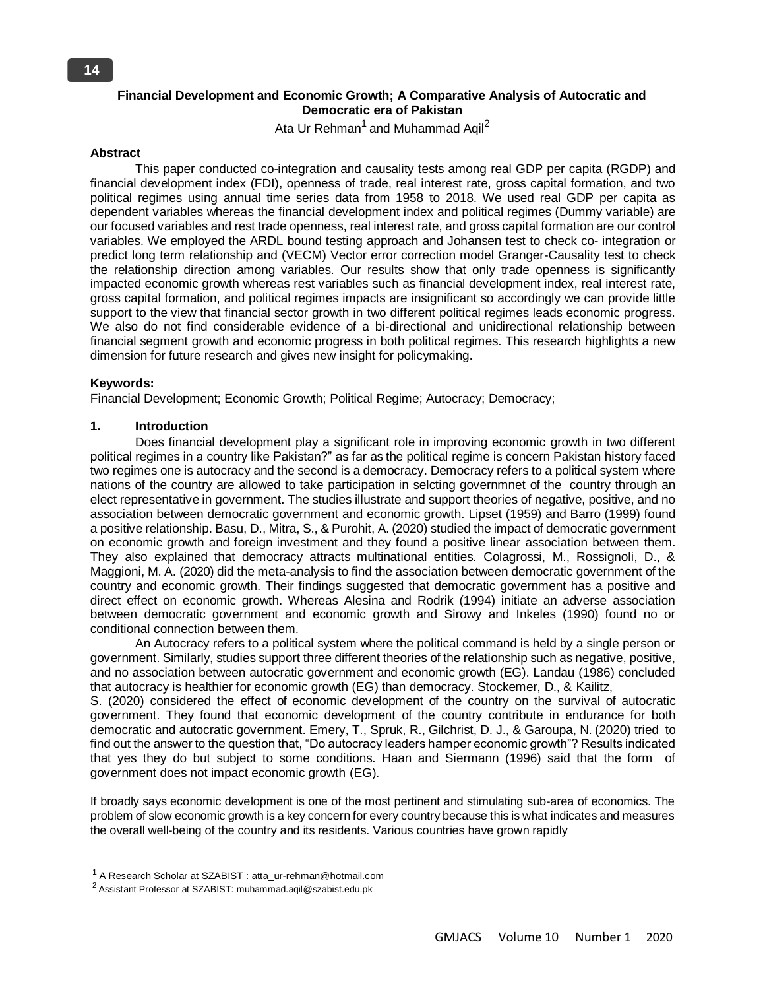# **Financial Development and Economic Growth; A Comparative Analysis of Autocratic and Democratic era of Pakistan**

Ata Ur Rehman<sup>1</sup> and Muhammad Aqil<sup>2</sup>

#### **Abstract**

This paper conducted co-integration and causality tests among real GDP per capita (RGDP) and financial development index (FDI), openness of trade, real interest rate, gross capital formation, and two political regimes using annual time series data from 1958 to 2018. We used real GDP per capita as dependent variables whereas the financial development index and political regimes (Dummy variable) are our focused variables and rest trade openness, real interest rate, and gross capital formation are our control variables. We employed the ARDL bound testing approach and Johansen test to check co- integration or predict long term relationship and (VECM) Vector error correction model Granger-Causality test to check the relationship direction among variables. Our results show that only trade openness is significantly impacted economic growth whereas rest variables such as financial development index, real interest rate, gross capital formation, and political regimes impacts are insignificant so accordingly we can provide little support to the view that financial sector growth in two different political regimes leads economic progress. We also do not find considerable evidence of a bi-directional and unidirectional relationship between financial segment growth and economic progress in both political regimes. This research highlights a new dimension for future research and gives new insight for policymaking.

#### **Keywords:**

Financial Development; Economic Growth; Political Regime; Autocracy; Democracy;

# **1. Introduction**

Does financial development play a significant role in improving economic growth in two different political regimes in a country like Pakistan?" as far as the political regime is concern Pakistan history faced two regimes one is autocracy and the second is a democracy. Democracy refers to a political system where nations of the country are allowed to take participation in selcting governmnet of the country through an elect representative in government. The studies illustrate and support theories of negative, positive, and no association between democratic government and economic growth. Lipset (1959) and Barro (1999) found a positive relationship. Basu, D., Mitra, S., & Purohit, A. (2020) studied the impact of democratic government on economic growth and foreign investment and they found a positive linear association between them. They also explained that democracy attracts multinational entities. Colagrossi, M., Rossignoli, D., & Maggioni, M. A. (2020) did the meta-analysis to find the association between democratic government of the country and economic growth. Their findings suggested that democratic government has a positive and direct effect on economic growth. Whereas Alesina and Rodrik (1994) initiate an adverse association between democratic government and economic growth and Sirowy and Inkeles (1990) found no or conditional connection between them.

An Autocracy refers to a political system where the political command is held by a single person or government. Similarly, studies support three different theories of the relationship such as negative, positive, and no association between autocratic government and economic growth (EG). Landau (1986) concluded that autocracy is healthier for economic growth (EG) than democracy. Stockemer, D., & Kailitz,

S. (2020) considered the effect of economic development of the country on the survival of autocratic government. They found that economic development of the country contribute in endurance for both democratic and autocratic government. Emery, T., Spruk, R., Gilchrist, D. J., & Garoupa, N. (2020) tried to find out the answer to the question that, "Do autocracy leaders hamper economic growth"? Results indicated that yes they do but subject to some conditions. Haan and Siermann (1996) said that the form of government does not impact economic growth (EG).

If broadly says economic development is one of the most pertinent and stimulating sub-area of economics. The problem of slow economic growth is a key concern for every country because this is what indicates and measures the overall well-being of the country and its residents. Various countries have grown rapidly

 $1$  A Research Scholar at SZABIST : atta\_ur-rehman@hotmail.com

 $2$  Assistant Professor at SZABIST: muhammad.aqil@szabist.edu.pk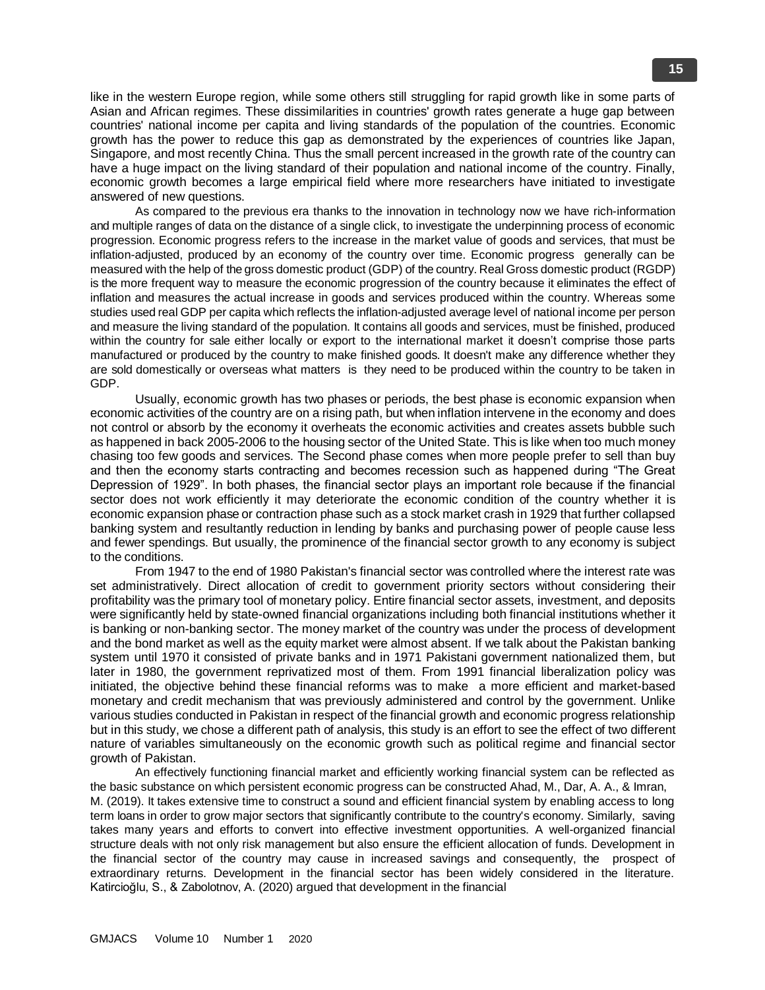like in the western Europe region, while some others still struggling for rapid growth like in some parts of Asian and African regimes. These dissimilarities in countries' growth rates generate a huge gap between countries' national income per capita and living standards of the population of the countries. Economic growth has the power to reduce this gap as demonstrated by the experiences of countries like Japan, Singapore, and most recently China. Thus the small percent increased in the growth rate of the country can have a huge impact on the living standard of their population and national income of the country. Finally, economic growth becomes a large empirical field where more researchers have initiated to investigate answered of new questions.

As compared to the previous era thanks to the innovation in technology now we have rich-information and multiple ranges of data on the distance of a single click, to investigate the underpinning process of economic progression. Economic progress refers to the increase in the market value of goods and services, that must be inflation-adjusted, produced by an economy of the country over time. Economic progress generally can be measured with the help of the gross domestic product (GDP) of the country. Real Gross domestic product (RGDP) is the more frequent way to measure the economic progression of the country because it eliminates the effect of inflation and measures the actual increase in goods and services produced within the country. Whereas some studies used real GDP per capita which reflects the inflation-adjusted average level of national income per person and measure the living standard of the population. It contains all goods and services, must be finished, produced within the country for sale either locally or export to the international market it doesn't comprise those parts manufactured or produced by the country to make finished goods. It doesn't make any difference whether they are sold domestically or overseas what matters is they need to be produced within the country to be taken in GDP.

Usually, economic growth has two phases or periods, the best phase is economic expansion when economic activities of the country are on a rising path, but when inflation intervene in the economy and does not control or absorb by the economy it overheats the economic activities and creates assets bubble such as happened in back 2005-2006 to the housing sector of the United State. This is like when too much money chasing too few goods and services. The Second phase comes when more people prefer to sell than buy and then the economy starts contracting and becomes recession such as happened during "The Great Depression of 1929". In both phases, the financial sector plays an important role because if the financial sector does not work efficiently it may deteriorate the economic condition of the country whether it is economic expansion phase or contraction phase such as a stock market crash in 1929 that further collapsed banking system and resultantly reduction in lending by banks and purchasing power of people cause less and fewer spendings. But usually, the prominence of the financial sector growth to any economy is subject to the conditions.

From 1947 to the end of 1980 Pakistan's financial sector was controlled where the interest rate was set administratively. Direct allocation of credit to government priority sectors without considering their profitability was the primary tool of monetary policy. Entire financial sector assets, investment, and deposits were significantly held by state-owned financial organizations including both financial institutions whether it is banking or non-banking sector. The money market of the country was under the process of development and the bond market as well as the equity market were almost absent. If we talk about the Pakistan banking system until 1970 it consisted of private banks and in 1971 Pakistani government nationalized them, but later in 1980, the government reprivatized most of them. From 1991 financial liberalization policy was initiated, the objective behind these financial reforms was to make a more efficient and market-based monetary and credit mechanism that was previously administered and control by the government. Unlike various studies conducted in Pakistan in respect of the financial growth and economic progress relationship but in this study, we chose a different path of analysis, this study is an effort to see the effect of two different nature of variables simultaneously on the economic growth such as political regime and financial sector growth of Pakistan.

An effectively functioning financial market and efficiently working financial system can be reflected as the basic substance on which persistent economic progress can be constructed Ahad, M., Dar, A. A., & Imran, M. (2019). It takes extensive time to construct a sound and efficient financial system by enabling access to long term loans in order to grow major sectors that significantly contribute to the country's economy. Similarly, saving takes many years and efforts to convert into effective investment opportunities. A well-organized financial structure deals with not only risk management but also ensure the efficient allocation of funds. Development in the financial sector of the country may cause in increased savings and consequently, the prospect of extraordinary returns. Development in the financial sector has been widely considered in the literature. Katircioğlu, S., & Zabolotnov, A. (2020) argued that development in the financial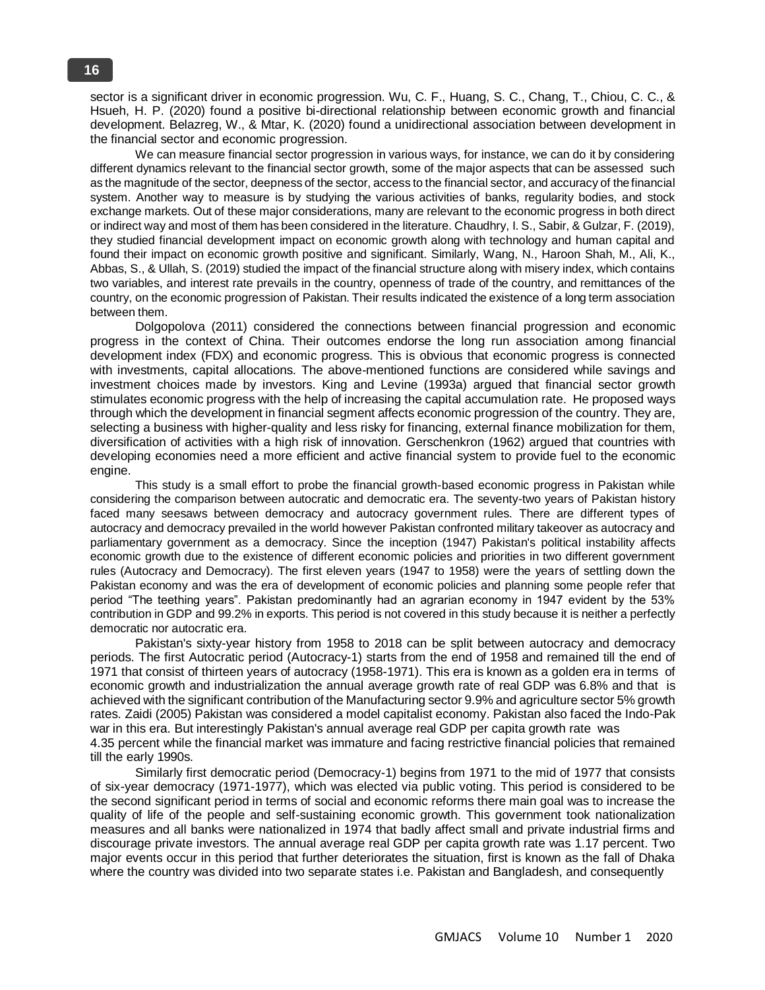sector is a significant driver in economic progression. Wu, C. F., Huang, S. C., Chang, T., Chiou, C. C., & Hsueh, H. P. (2020) found a positive bi-directional relationship between economic growth and financial development. Belazreg, W., & Mtar, K. (2020) found a unidirectional association between development in the financial sector and economic progression.

We can measure financial sector progression in various ways, for instance, we can do it by considering different dynamics relevant to the financial sector growth, some of the major aspects that can be assessed such as the magnitude of the sector, deepness of the sector, access to the financial sector, and accuracy of the financial system. Another way to measure is by studying the various activities of banks, regularity bodies, and stock exchange markets. Out of these major considerations, many are relevant to the economic progress in both direct or indirect way and most of them has been considered in the literature. Chaudhry, I. S., Sabir, & Gulzar, F. (2019), they studied financial development impact on economic growth along with technology and human capital and found their impact on economic growth positive and significant. Similarly, Wang, N., Haroon Shah, M., Ali, K., Abbas, S., & Ullah, S. (2019) studied the impact of the financial structure along with misery index, which contains two variables, and interest rate prevails in the country, openness of trade of the country, and remittances of the country, on the economic progression of Pakistan. Their results indicated the existence of a long term association between them.

Dolgopolova (2011) considered the connections between financial progression and economic progress in the context of China. Their outcomes endorse the long run association among financial development index (FDX) and economic progress. This is obvious that economic progress is connected with investments, capital allocations. The above-mentioned functions are considered while savings and investment choices made by investors. King and Levine (1993a) argued that financial sector growth stimulates economic progress with the help of increasing the capital accumulation rate. He proposed ways through which the development in financial segment affects economic progression of the country. They are, selecting a business with higher-quality and less risky for financing, external finance mobilization for them, diversification of activities with a high risk of innovation. Gerschenkron (1962) argued that countries with developing economies need a more efficient and active financial system to provide fuel to the economic engine.

This study is a small effort to probe the financial growth-based economic progress in Pakistan while considering the comparison between autocratic and democratic era. The seventy-two years of Pakistan history faced many seesaws between democracy and autocracy government rules. There are different types of autocracy and democracy prevailed in the world however Pakistan confronted military takeover as autocracy and parliamentary government as a democracy. Since the inception (1947) Pakistan's political instability affects economic growth due to the existence of different economic policies and priorities in two different government rules (Autocracy and Democracy). The first eleven years (1947 to 1958) were the years of settling down the Pakistan economy and was the era of development of economic policies and planning some people refer that period "The teething years". Pakistan predominantly had an agrarian economy in 1947 evident by the 53% contribution in GDP and 99.2% in exports. This period is not covered in this study because it is neither a perfectly democratic nor autocratic era.

Pakistan's sixty-year history from 1958 to 2018 can be split between autocracy and democracy periods. The first Autocratic period (Autocracy-1) starts from the end of 1958 and remained till the end of 1971 that consist of thirteen years of autocracy (1958-1971). This era is known as a golden era in terms of economic growth and industrialization the annual average growth rate of real GDP was 6.8% and that is achieved with the significant contribution of the Manufacturing sector 9.9% and agriculture sector 5% growth rates. Zaidi (2005) Pakistan was considered a model capitalist economy. Pakistan also faced the Indo-Pak war in this era. But interestingly Pakistan's annual average real GDP per capita growth rate was 4.35 percent while the financial market was immature and facing restrictive financial policies that remained till the early 1990s.

Similarly first democratic period (Democracy-1) begins from 1971 to the mid of 1977 that consists of six-year democracy (1971-1977), which was elected via public voting. This period is considered to be the second significant period in terms of social and economic reforms there main goal was to increase the quality of life of the people and self-sustaining economic growth. This government took nationalization measures and all banks were nationalized in 1974 that badly affect small and private industrial firms and discourage private investors. The annual average real GDP per capita growth rate was 1.17 percent. Two major events occur in this period that further deteriorates the situation, first is known as the fall of Dhaka where the country was divided into two separate states i.e. Pakistan and Bangladesh, and consequently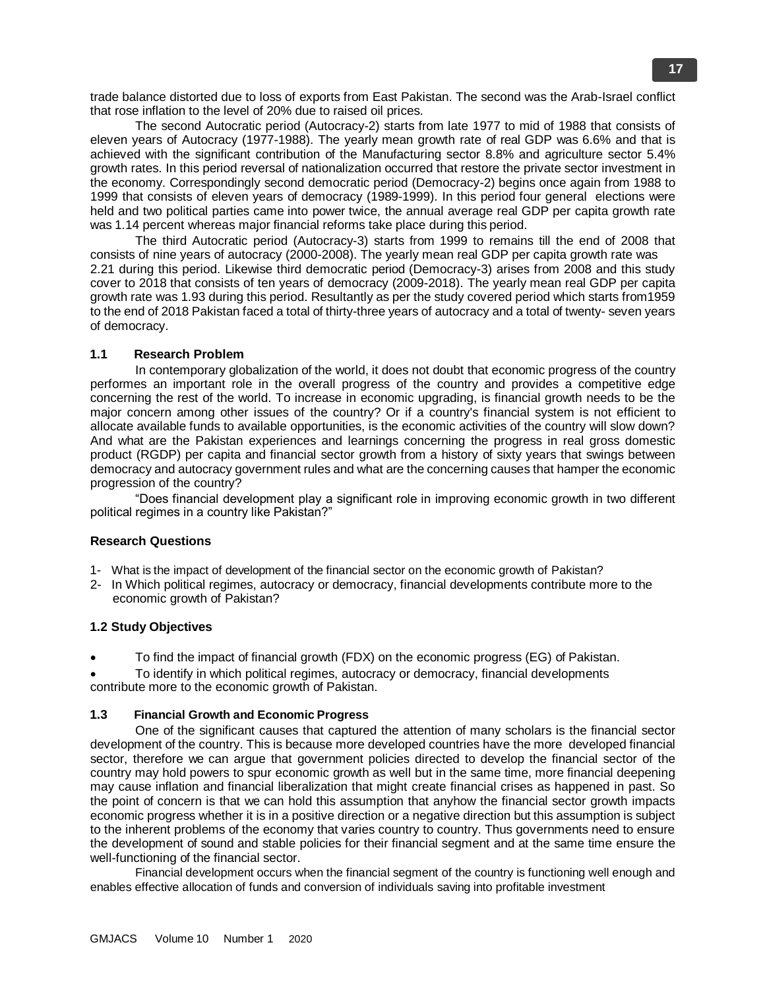trade balance distorted due to loss of exports from East Pakistan. The second was the Arab-Israel conflict that rose inflation to the level of 20% due to raised oil prices.

The second Autocratic period (Autocracy-2) starts from late 1977 to mid of 1988 that consists of eleven years of Autocracy (1977-1988). The yearly mean growth rate of real GDP was 6.6% and that is achieved with the significant contribution of the Manufacturing sector 8.8% and agriculture sector 5.4% growth rates. In this period reversal of nationalization occurred that restore the private sector investment in the economy. Correspondingly second democratic period (Democracy-2) begins once again from 1988 to 1999 that consists of eleven years of democracy (1989-1999). In this period four general elections were held and two political parties came into power twice, the annual average real GDP per capita growth rate was 1.14 percent whereas major financial reforms take place during this period.

The third Autocratic period (Autocracy-3) starts from 1999 to remains till the end of 2008 that consists of nine years of autocracy (2000-2008). The yearly mean real GDP per capita growth rate was 2.21 during this period. Likewise third democratic period (Democracy-3) arises from 2008 and this study cover to 2018 that consists of ten years of democracy (2009-2018). The yearly mean real GDP per capita growth rate was 1.93 during this period. Resultantly as per the study covered period which starts from1959 to the end of 2018 Pakistan faced a total of thirty-three years of autocracy and a total of twenty- seven years of democracy.

# **1.1 Research Problem**

In contemporary globalization of the world, it does not doubt that economic progress of the country performes an important role in the overall progress of the country and provides a competitive edge concerning the rest of the world. To increase in economic upgrading, is financial growth needs to be the major concern among other issues of the country? Or if a country's financial system is not efficient to allocate available funds to available opportunities, is the economic activities of the country will slow down? And what are the Pakistan experiences and learnings concerning the progress in real gross domestic product (RGDP) per capita and financial sector growth from a history of sixty years that swings between democracy and autocracy government rules and what are the concerning causes that hamper the economic progression of the country?

"Does financial development play a significant role in improving economic growth in two different political regimes in a country like Pakistan?"

# **Research Questions**

- 1- What is the impact of development of the financial sector on the economic growth of Pakistan?
- 2- In Which political regimes, autocracy or democracy, financial developments contribute more to the economic growth of Pakistan?

# **1.2 Study Objectives**

To find the impact of financial growth (FDX) on the economic progress (EG) of Pakistan.

 To identify in which political regimes, autocracy or democracy, financial developments contribute more to the economic growth of Pakistan.

# **1.3 Financial Growth and Economic Progress**

One of the significant causes that captured the attention of many scholars is the financial sector development of the country. This is because more developed countries have the more developed financial sector, therefore we can argue that government policies directed to develop the financial sector of the country may hold powers to spur economic growth as well but in the same time, more financial deepening may cause inflation and financial liberalization that might create financial crises as happened in past. So the point of concern is that we can hold this assumption that anyhow the financial sector growth impacts economic progress whether it is in a positive direction or a negative direction but this assumption is subject to the inherent problems of the economy that varies country to country. Thus governments need to ensure the development of sound and stable policies for their financial segment and at the same time ensure the well-functioning of the financial sector.

Financial development occurs when the financial segment of the country is functioning well enough and enables effective allocation of funds and conversion of individuals saving into profitable investment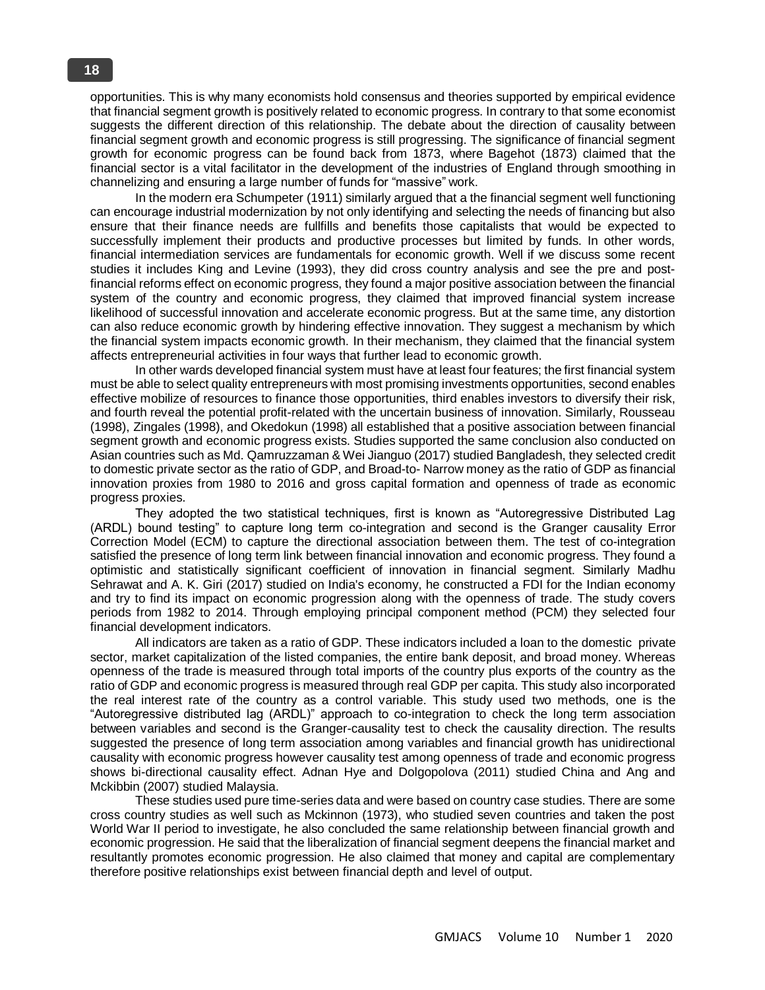opportunities. This is why many economists hold consensus and theories supported by empirical evidence that financial segment growth is positively related to economic progress. In contrary to that some economist suggests the different direction of this relationship. The debate about the direction of causality between financial segment growth and economic progress is still progressing. The significance of financial segment growth for economic progress can be found back from 1873, where Bagehot (1873) claimed that the financial sector is a vital facilitator in the development of the industries of England through smoothing in channelizing and ensuring a large number of funds for "massive" work.

In the modern era Schumpeter (1911) similarly argued that a the financial segment well functioning can encourage industrial modernization by not only identifying and selecting the needs of financing but also ensure that their finance needs are fullfills and benefits those capitalists that would be expected to successfully implement their products and productive processes but limited by funds. In other words, financial intermediation services are fundamentals for economic growth. Well if we discuss some recent studies it includes King and Levine (1993), they did cross country analysis and see the pre and postfinancial reforms effect on economic progress, they found a major positive association between the financial system of the country and economic progress, they claimed that improved financial system increase likelihood of successful innovation and accelerate economic progress. But at the same time, any distortion can also reduce economic growth by hindering effective innovation. They suggest a mechanism by which the financial system impacts economic growth. In their mechanism, they claimed that the financial system affects entrepreneurial activities in four ways that further lead to economic growth.

In other wards developed financial system must have at least four features; the first financial system must be able to select quality entrepreneurs with most promising investments opportunities, second enables effective mobilize of resources to finance those opportunities, third enables investors to diversify their risk, and fourth reveal the potential profit-related with the uncertain business of innovation. Similarly, Rousseau (1998), Zingales (1998), and Okedokun (1998) all established that a positive association between financial segment growth and economic progress exists. Studies supported the same conclusion also conducted on Asian countries such as Md. Qamruzzaman & Wei Jianguo (2017) studied Bangladesh, they selected credit to domestic private sector as the ratio of GDP, and Broad-to- Narrow money as the ratio of GDP as financial innovation proxies from 1980 to 2016 and gross capital formation and openness of trade as economic progress proxies.

They adopted the two statistical techniques, first is known as "Autoregressive Distributed Lag (ARDL) bound testing" to capture long term co-integration and second is the Granger causality Error Correction Model (ECM) to capture the directional association between them. The test of co-integration satisfied the presence of long term link between financial innovation and economic progress. They found a optimistic and statistically significant coefficient of innovation in financial segment. Similarly Madhu Sehrawat and A. K. Giri (2017) studied on India's economy, he constructed a FDI for the Indian economy and try to find its impact on economic progression along with the openness of trade. The study covers periods from 1982 to 2014. Through employing principal component method (PCM) they selected four financial development indicators.

All indicators are taken as a ratio of GDP. These indicators included a loan to the domestic private sector, market capitalization of the listed companies, the entire bank deposit, and broad money. Whereas openness of the trade is measured through total imports of the country plus exports of the country as the ratio of GDP and economic progress is measured through real GDP per capita. This study also incorporated the real interest rate of the country as a control variable. This study used two methods, one is the "Autoregressive distributed lag (ARDL)" approach to co-integration to check the long term association between variables and second is the Granger-causality test to check the causality direction. The results suggested the presence of long term association among variables and financial growth has unidirectional causality with economic progress however causality test among openness of trade and economic progress shows bi-directional causality effect. Adnan Hye and Dolgopolova (2011) studied China and Ang and Mckibbin (2007) studied Malaysia.

These studies used pure time-series data and were based on country case studies. There are some cross country studies as well such as Mckinnon (1973), who studied seven countries and taken the post World War II period to investigate, he also concluded the same relationship between financial growth and economic progression. He said that the liberalization of financial segment deepens the financial market and resultantly promotes economic progression. He also claimed that money and capital are complementary therefore positive relationships exist between financial depth and level of output.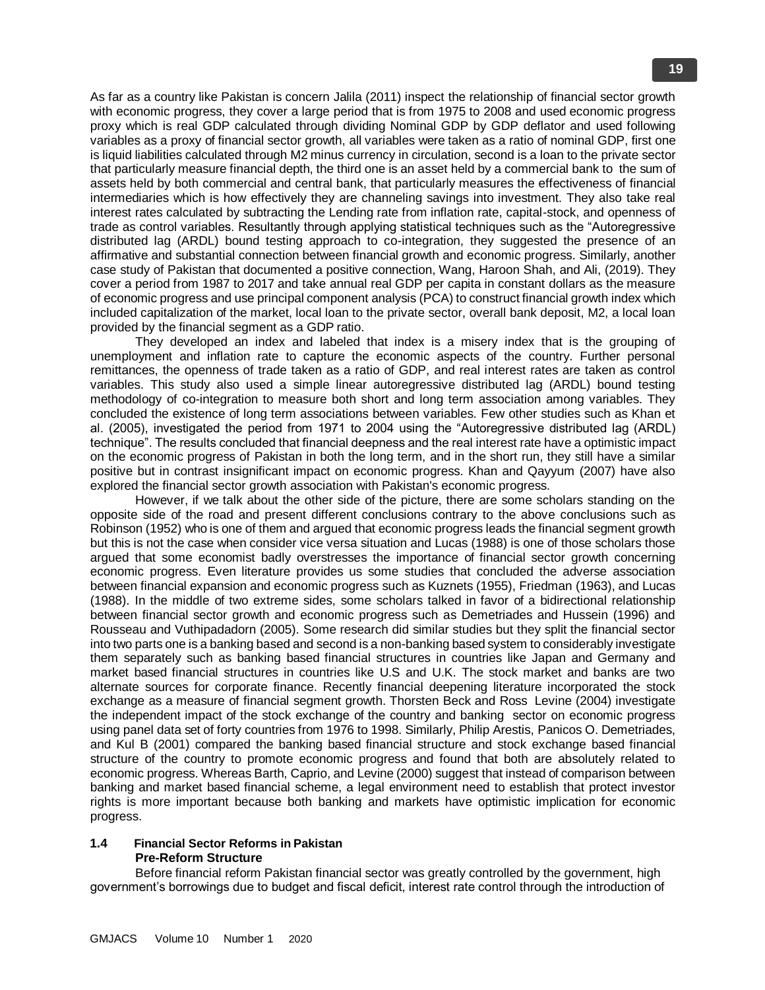As far as a country like Pakistan is concern Jalila (2011) inspect the relationship of financial sector growth with economic progress, they cover a large period that is from 1975 to 2008 and used economic progress proxy which is real GDP calculated through dividing Nominal GDP by GDP deflator and used following variables as a proxy of financial sector growth, all variables were taken as a ratio of nominal GDP, first one is liquid liabilities calculated through M2 minus currency in circulation, second is a loan to the private sector that particularly measure financial depth, the third one is an asset held by a commercial bank to the sum of assets held by both commercial and central bank, that particularly measures the effectiveness of financial intermediaries which is how effectively they are channeling savings into investment. They also take real interest rates calculated by subtracting the Lending rate from inflation rate, capital-stock, and openness of trade as control variables. Resultantly through applying statistical techniques such as the "Autoregressive distributed lag (ARDL) bound testing approach to co-integration, they suggested the presence of an affirmative and substantial connection between financial growth and economic progress. Similarly, another case study of Pakistan that documented a positive connection, Wang, Haroon Shah, and Ali, (2019). They cover a period from 1987 to 2017 and take annual real GDP per capita in constant dollars as the measure of economic progress and use principal component analysis (PCA) to construct financial growth index which included capitalization of the market, local loan to the private sector, overall bank deposit, M2, a local loan provided by the financial segment as a GDP ratio.

They developed an index and labeled that index is a misery index that is the grouping of unemployment and inflation rate to capture the economic aspects of the country. Further personal remittances, the openness of trade taken as a ratio of GDP, and real interest rates are taken as control variables. This study also used a simple linear autoregressive distributed lag (ARDL) bound testing methodology of co-integration to measure both short and long term association among variables. They concluded the existence of long term associations between variables. Few other studies such as Khan et al. (2005), investigated the period from 1971 to 2004 using the "Autoregressive distributed lag (ARDL) technique". The results concluded that financial deepness and the real interest rate have a optimistic impact on the economic progress of Pakistan in both the long term, and in the short run, they still have a similar positive but in contrast insignificant impact on economic progress. Khan and Qayyum (2007) have also explored the financial sector growth association with Pakistan's economic progress.

However, if we talk about the other side of the picture, there are some scholars standing on the opposite side of the road and present different conclusions contrary to the above conclusions such as Robinson (1952) who is one of them and argued that economic progress leads the financial segment growth but this is not the case when consider vice versa situation and Lucas (1988) is one of those scholars those argued that some economist badly overstresses the importance of financial sector growth concerning economic progress. Even literature provides us some studies that concluded the adverse association between financial expansion and economic progress such as Kuznets (1955), Friedman (1963), and Lucas (1988). In the middle of two extreme sides, some scholars talked in favor of a bidirectional relationship between financial sector growth and economic progress such as Demetriades and Hussein (1996) and Rousseau and Vuthipadadorn (2005). Some research did similar studies but they split the financial sector into two parts one is a banking based and second is a non-banking based system to considerably investigate them separately such as banking based financial structures in countries like Japan and Germany and market based financial structures in countries like U.S and U.K. The stock market and banks are two alternate sources for corporate finance. Recently financial deepening literature incorporated the stock exchange as a measure of financial segment growth. Thorsten Beck and Ross Levine (2004) investigate the independent impact of the stock exchange of the country and banking sector on economic progress using panel data set of forty countries from 1976 to 1998. Similarly, Philip Arestis, Panicos O. Demetriades, and Kul B (2001) compared the banking based financial structure and stock exchange based financial structure of the country to promote economic progress and found that both are absolutely related to economic progress. Whereas Barth, Caprio, and Levine (2000) suggest that instead of comparison between banking and market based financial scheme, a legal environment need to establish that protect investor rights is more important because both banking and markets have optimistic implication for economic progress.

# **1.4 Financial Sector Reforms in Pakistan Pre-Reform Structure**

Before financial reform Pakistan financial sector was greatly controlled by the government, high government's borrowings due to budget and fiscal deficit, interest rate control through the introduction of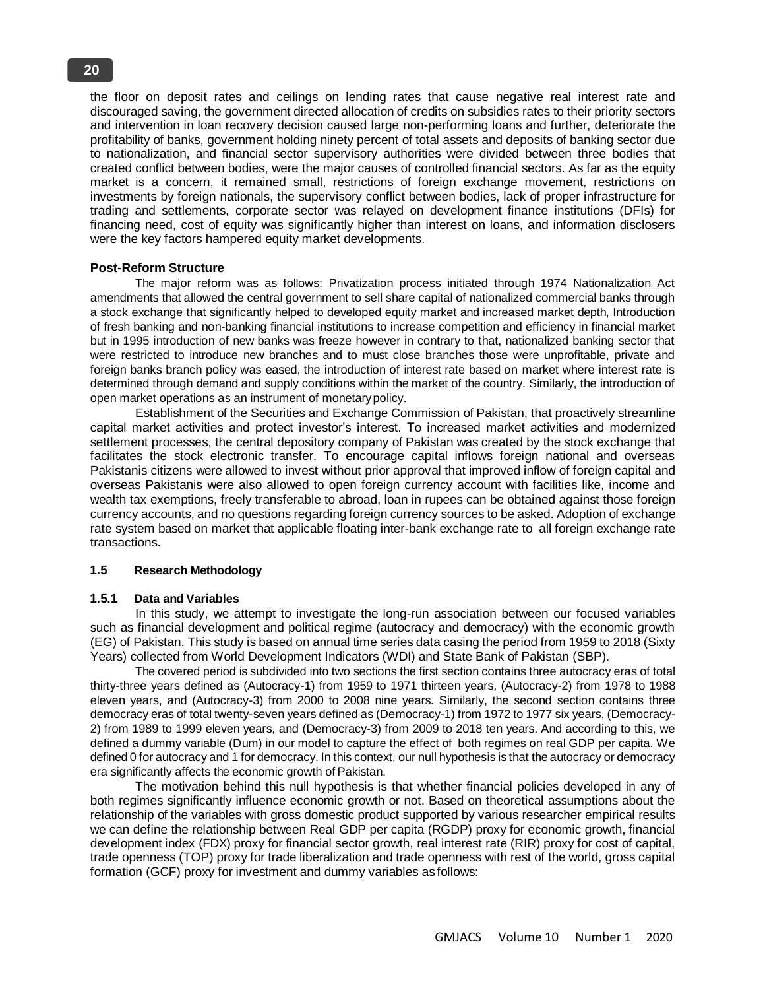the floor on deposit rates and ceilings on lending rates that cause negative real interest rate and discouraged saving, the government directed allocation of credits on subsidies rates to their priority sectors and intervention in loan recovery decision caused large non-performing loans and further, deteriorate the profitability of banks, government holding ninety percent of total assets and deposits of banking sector due to nationalization, and financial sector supervisory authorities were divided between three bodies that created conflict between bodies, were the major causes of controlled financial sectors. As far as the equity market is a concern, it remained small, restrictions of foreign exchange movement, restrictions on investments by foreign nationals, the supervisory conflict between bodies, lack of proper infrastructure for trading and settlements, corporate sector was relayed on development finance institutions (DFIs) for financing need, cost of equity was significantly higher than interest on loans, and information disclosers were the key factors hampered equity market developments.

# **Post-Reform Structure**

The major reform was as follows: Privatization process initiated through 1974 Nationalization Act amendments that allowed the central government to sell share capital of nationalized commercial banks through a stock exchange that significantly helped to developed equity market and increased market depth, Introduction of fresh banking and non-banking financial institutions to increase competition and efficiency in financial market but in 1995 introduction of new banks was freeze however in contrary to that, nationalized banking sector that were restricted to introduce new branches and to must close branches those were unprofitable, private and foreign banks branch policy was eased, the introduction of interest rate based on market where interest rate is determined through demand and supply conditions within the market of the country. Similarly, the introduction of open market operations as an instrument of monetarypolicy.

Establishment of the Securities and Exchange Commission of Pakistan, that proactively streamline capital market activities and protect investor's interest. To increased market activities and modernized settlement processes, the central depository company of Pakistan was created by the stock exchange that facilitates the stock electronic transfer. To encourage capital inflows foreign national and overseas Pakistanis citizens were allowed to invest without prior approval that improved inflow of foreign capital and overseas Pakistanis were also allowed to open foreign currency account with facilities like, income and wealth tax exemptions, freely transferable to abroad, loan in rupees can be obtained against those foreign currency accounts, and no questions regarding foreign currency sources to be asked. Adoption of exchange rate system based on market that applicable floating inter-bank exchange rate to all foreign exchange rate transactions.

#### **1.5 Research Methodology**

#### **1.5.1 Data and Variables**

In this study, we attempt to investigate the long-run association between our focused variables such as financial development and political regime (autocracy and democracy) with the economic growth (EG) of Pakistan. This study is based on annual time series data casing the period from 1959 to 2018 (Sixty Years) collected from World Development Indicators (WDI) and State Bank of Pakistan (SBP).

The covered period is subdivided into two sections the first section contains three autocracy eras of total thirty-three years defined as (Autocracy-1) from 1959 to 1971 thirteen years, (Autocracy-2) from 1978 to 1988 eleven years, and (Autocracy-3) from 2000 to 2008 nine years. Similarly, the second section contains three democracy eras of total twenty-seven years defined as (Democracy-1) from 1972 to 1977 six years, (Democracy-2) from 1989 to 1999 eleven years, and (Democracy-3) from 2009 to 2018 ten years. And according to this, we defined a dummy variable (Dum) in our model to capture the effect of both regimes on real GDP per capita. We defined 0 for autocracy and 1 for democracy. In this context, our null hypothesis is that the autocracy or democracy era significantly affects the economic growth of Pakistan.

The motivation behind this null hypothesis is that whether financial policies developed in any of both regimes significantly influence economic growth or not. Based on theoretical assumptions about the relationship of the variables with gross domestic product supported by various researcher empirical results we can define the relationship between Real GDP per capita (RGDP) proxy for economic growth, financial development index (FDX) proxy for financial sector growth, real interest rate (RIR) proxy for cost of capital, trade openness (TOP) proxy for trade liberalization and trade openness with rest of the world, gross capital formation (GCF) proxy for investment and dummy variables as follows: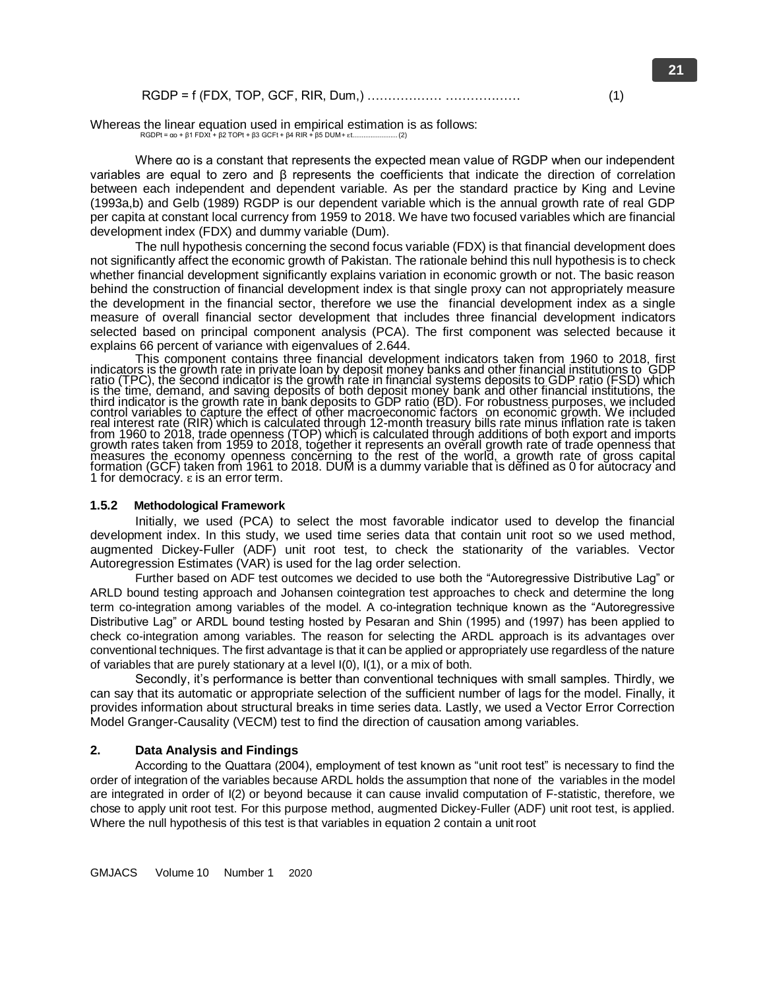|--|--|

Whereas the linear equation used in empirical estimation is as follows: RGDPt =  $\alpha$ o + β1 FDXt + β2 TOPt + β3 GCFt + β4 RIR + β5 DUM + εt...

Where αo is a constant that represents the expected mean value of RGDP when our independent variables are equal to zero and β represents the coefficients that indicate the direction of correlation between each independent and dependent variable. As per the standard practice by King and Levine (1993a,b) and Gelb (1989) RGDP is our dependent variable which is the annual growth rate of real GDP per capita at constant local currency from 1959 to 2018. We have two focused variables which are financial development index (FDX) and dummy variable (Dum).

The null hypothesis concerning the second focus variable (FDX) is that financial development does not significantly affect the economic growth of Pakistan. The rationale behind this null hypothesis is to check whether financial development significantly explains variation in economic growth or not. The basic reason behind the construction of financial development index is that single proxy can not appropriately measure the development in the financial sector, therefore we use the financial development index as a single measure of overall financial sector development that includes three financial development indicators selected based on principal component analysis (PCA). The first component was selected because it

explains 66 percent of variance with eigenvalues of 2.644.<br>This component contains three financial development indicators taken from 1960 to 2018, first This component contains three financial development indicators taken from 1960 to 2018, first indicators is the growth rate in private loan by deposit money banks and other financial institutions to GDP ratio (TPC), the second indicator is the growth rate in financial systems deposits to GDP ratio (FSD) which is the time, demand, and saving deposits of both deposit money bank and other financial institutions, the third indicator is the growth rate in bank deposits to GDP ratio (BD). For robustness purposes, we included control variables to capture the effect of other macroeconomic factors on economic growth. We included real interest rate (RIR) which is calculated through 12-month treasury bills rate minus inflation rate is taken from 1960 to 2018, trade openness (TOP) which is calculated through additions of both export and imports growth rates taken from 1959 to 2018, together it represents an overall growth rate of trade openness that measures the economy openness concerning to the rest of the world, a growth rate of gross capital formation (GCF) taken from 1961 to 2018. DUM is a dummy variable that is dĕfined as 0 for aŭtocracy and 1 for democracy. ɛ is an error term.

#### **1.5.2 Methodological Framework**

Initially, we used (PCA) to select the most favorable indicator used to develop the financial development index. In this study, we used time series data that contain unit root so we used method, augmented Dickey-Fuller (ADF) unit root test, to check the stationarity of the variables. Vector Autoregression Estimates (VAR) is used for the lag order selection.

Further based on ADF test outcomes we decided to use both the "Autoregressive Distributive Lag" or ARLD bound testing approach and Johansen cointegration test approaches to check and determine the long term co-integration among variables of the model. A co-integration technique known as the "Autoregressive Distributive Lag" or ARDL bound testing hosted by Pesaran and Shin (1995) and (1997) has been applied to check co-integration among variables. The reason for selecting the ARDL approach is its advantages over conventional techniques. The first advantage is that it can be applied or appropriately use regardless of the nature of variables that are purely stationary at a level I(0), I(1), or a mix of both.

Secondly, it's performance is better than conventional techniques with small samples. Thirdly, we can say that its automatic or appropriate selection of the sufficient number of lags for the model. Finally, it provides information about structural breaks in time series data. Lastly, we used a Vector Error Correction Model Granger-Causality (VECM) test to find the direction of causation among variables.

# **2. Data Analysis and Findings**

According to the Quattara (2004), employment of test known as "unit root test" is necessary to find the order of integration of the variables because ARDL holds the assumption that none of the variables in the model are integrated in order of I(2) or beyond because it can cause invalid computation of F-statistic, therefore, we chose to apply unit root test. For this purpose method, augmented Dickey-Fuller (ADF) unit root test, is applied. Where the null hypothesis of this test is that variables in equation 2 contain a unit root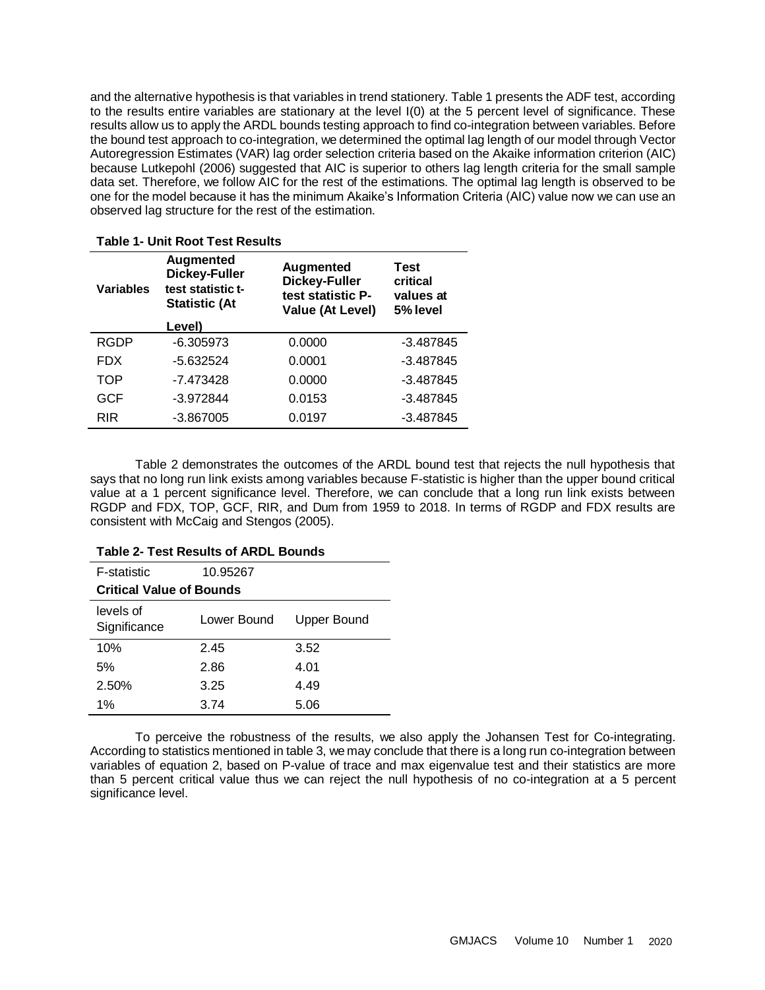and the alternative hypothesis is that variables in trend stationery. Table 1 presents the ADF test, according to the results entire variables are stationary at the level I(0) at the 5 percent level of significance. These results allow us to apply the ARDL bounds testing approach to find co-integration between variables. Before the bound test approach to co-integration, we determined the optimal lag length of our model through Vector Autoregression Estimates (VAR) lag order selection criteria based on the Akaike information criterion (AIC) because Lutkepohl (2006) suggested that AIC is superior to others lag length criteria for the small sample data set. Therefore, we follow AIC for the rest of the estimations. The optimal lag length is observed to be one for the model because it has the minimum Akaike's Information Criteria (AIC) value now we can use an observed lag structure for the rest of the estimation.

| <b>Variables</b> | Augmented<br><b>Dickey-Fuller</b><br>test statistic t-<br><b>Statistic (At</b> | <b>Augmented</b><br><b>Dickey-Fuller</b><br>test statistic P-<br>Value (At Level) | <b>Test</b><br>critical<br>values at<br>5% level |  |
|------------------|--------------------------------------------------------------------------------|-----------------------------------------------------------------------------------|--------------------------------------------------|--|
|                  | Level)                                                                         |                                                                                   |                                                  |  |
| <b>RGDP</b>      | $-6.305973$                                                                    | 0.0000                                                                            | $-3.487845$                                      |  |
| <b>FDX</b>       | $-5.632524$                                                                    | 0.0001                                                                            | $-3.487845$                                      |  |
| TOP              | -7.473428                                                                      | 0.0000                                                                            | $-3.487845$                                      |  |
| <b>GCF</b>       | $-3.972844$                                                                    | 0.0153                                                                            | $-3.487845$                                      |  |
| <b>RIR</b>       | $-3.867005$                                                                    | 0.0197                                                                            | $-3.487845$                                      |  |
|                  |                                                                                |                                                                                   |                                                  |  |

# **Table 1- Unit Root Test Results**

Table 2 demonstrates the outcomes of the ARDL bound test that rejects the null hypothesis that says that no long run link exists among variables because F-statistic is higher than the upper bound critical value at a 1 percent significance level. Therefore, we can conclude that a long run link exists between RGDP and FDX, TOP, GCF, RIR, and Dum from 1959 to 2018. In terms of RGDP and FDX results are consistent with McCaig and Stengos (2005).

| <b>F-statistic</b>              | 10.95267    |                    |  |  |  |
|---------------------------------|-------------|--------------------|--|--|--|
| <b>Critical Value of Bounds</b> |             |                    |  |  |  |
| levels of<br>Significance       | Lower Bound | <b>Upper Bound</b> |  |  |  |
| 10%                             | 2.45        | 3.52               |  |  |  |
| 5%                              | 2.86        | 4.01               |  |  |  |
| 2.50%                           | 3.25        | 4.49               |  |  |  |
| $1\%$                           | 3.74        | 5.06               |  |  |  |

#### **Table 2- Test Results of ARDL Bounds**

To perceive the robustness of the results, we also apply the Johansen Test for Co-integrating. According to statistics mentioned in table 3, we may conclude that there is a long run co-integration between variables of equation 2, based on P-value of trace and max eigenvalue test and their statistics are more than 5 percent critical value thus we can reject the null hypothesis of no co-integration at a 5 percent significance level.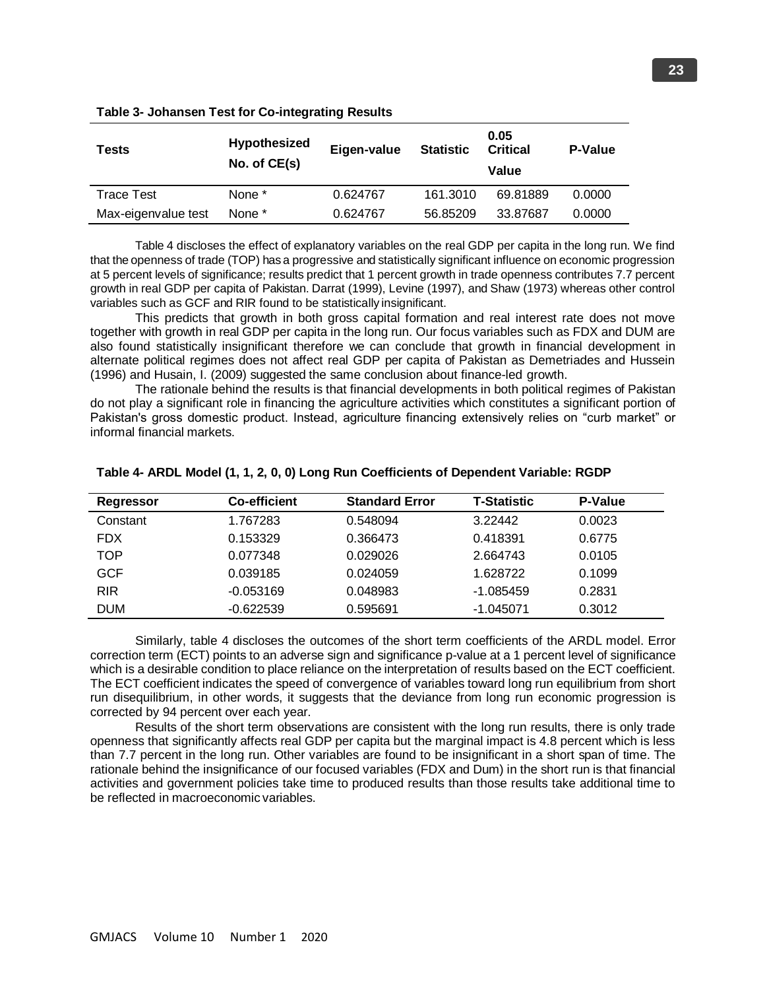| <b>Tests</b>        | <b>Hypothesized</b><br>No. of CE(s) | Eigen-value | <b>Statistic</b> | 0.05<br><b>Critical</b><br>Value | <b>P-Value</b> |
|---------------------|-------------------------------------|-------------|------------------|----------------------------------|----------------|
| <b>Trace Test</b>   | None *                              | 0.624767    | 161.3010         | 69.81889                         | 0.0000         |
| Max-eigenvalue test | None *                              | 0.624767    | 56.85209         | 33.87687                         | 0.0000         |

#### **Table 3- Johansen Test for Co-integrating Results**

Table 4 discloses the effect of explanatory variables on the real GDP per capita in the long run. We find that the openness of trade (TOP) has a progressive and statistically significant influence on economic progression at 5 percent levels of significance; results predict that 1 percent growth in trade openness contributes 7.7 percent growth in real GDP per capita of Pakistan. Darrat (1999), Levine (1997), and Shaw (1973) whereas other control variables such as GCF and RIR found to be statistically insignificant.

This predicts that growth in both gross capital formation and real interest rate does not move together with growth in real GDP per capita in the long run. Our focus variables such as FDX and DUM are also found statistically insignificant therefore we can conclude that growth in financial development in alternate political regimes does not affect real GDP per capita of Pakistan as Demetriades and Hussein (1996) and Husain, I. (2009) suggested the same conclusion about finance-led growth.

The rationale behind the results is that financial developments in both political regimes of Pakistan do not play a significant role in financing the agriculture activities which constitutes a significant portion of Pakistan's gross domestic product. Instead, agriculture financing extensively relies on "curb market" or informal financial markets.

| Regressor  | <b>Co-efficient</b> | <b>Standard Error</b> | <b>T-Statistic</b> | P-Value |
|------------|---------------------|-----------------------|--------------------|---------|
| Constant   | 1.767283            | 0.548094              | 3.22442            | 0.0023  |
| <b>FDX</b> | 0.153329            | 0.366473              | 0.418391           | 0.6775  |
| TOP        | 0.077348            | 0.029026              | 2.664743           | 0.0105  |
| <b>GCF</b> | 0.039185            | 0.024059              | 1.628722           | 0.1099  |
| <b>RIR</b> | $-0.053169$         | 0.048983              | $-1.085459$        | 0.2831  |
| <b>DUM</b> | $-0.622539$         | 0.595691              | $-1.045071$        | 0.3012  |

#### **Table 4- ARDL Model (1, 1, 2, 0, 0) Long Run Coefficients of Dependent Variable: RGDP**

Similarly, table 4 discloses the outcomes of the short term coefficients of the ARDL model. Error correction term (ECT) points to an adverse sign and significance p-value at a 1 percent level of significance which is a desirable condition to place reliance on the interpretation of results based on the ECT coefficient. The ECT coefficient indicates the speed of convergence of variables toward long run equilibrium from short run disequilibrium, in other words, it suggests that the deviance from long run economic progression is corrected by 94 percent over each year.

Results of the short term observations are consistent with the long run results, there is only trade openness that significantly affects real GDP per capita but the marginal impact is 4.8 percent which is less than 7.7 percent in the long run. Other variables are found to be insignificant in a short span of time. The rationale behind the insignificance of our focused variables (FDX and Dum) in the short run is that financial activities and government policies take time to produced results than those results take additional time to be reflected in macroeconomic variables.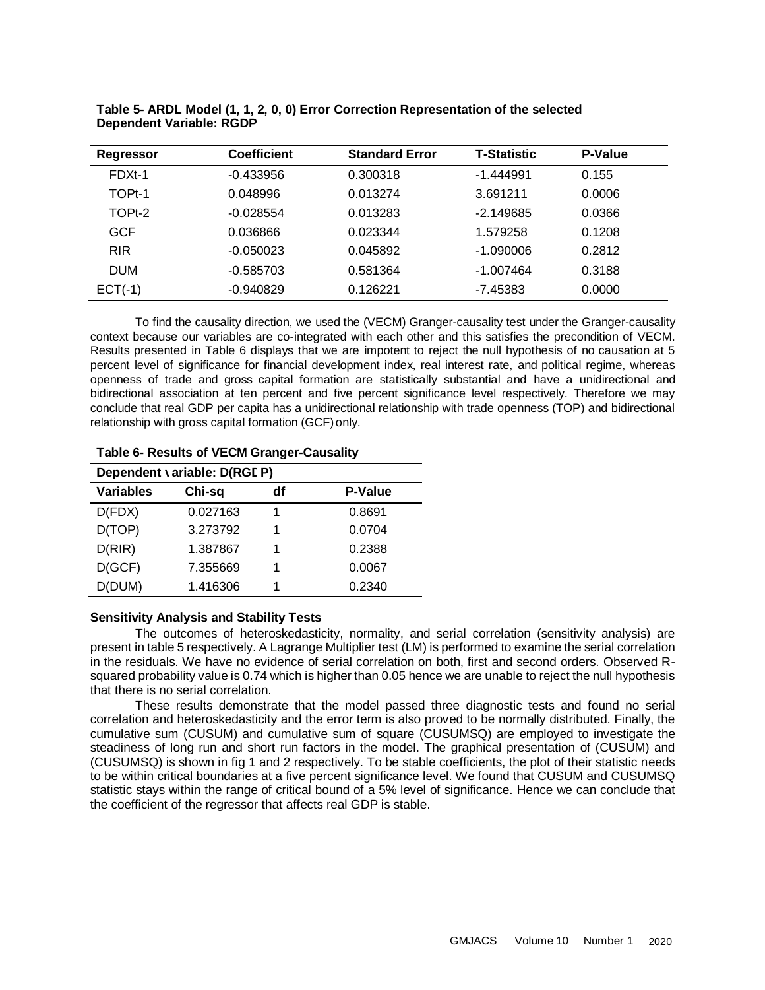| <b>Regressor</b> | <b>Coefficient</b> | <b>Standard Error</b> | <b>T-Statistic</b> | P-Value |  |
|------------------|--------------------|-----------------------|--------------------|---------|--|
| FDXt-1           | $-0.433956$        | 0.300318              | $-1.444991$        | 0.155   |  |
| TOPt-1           | 0.048996           | 0.013274              | 3.691211           | 0.0006  |  |
| TOPt-2           | $-0.028554$        | 0.013283              | $-2.149685$        | 0.0366  |  |
| <b>GCF</b>       | 0.036866           | 0.023344              | 1.579258           | 0.1208  |  |
| <b>RIR</b>       | $-0.050023$        | 0.045892              | $-1.090006$        | 0.2812  |  |
| <b>DUM</b>       | $-0.585703$        | 0.581364              | $-1.007464$        | 0.3188  |  |
| $ECT(-1)$        | $-0.940829$        | 0.126221              | $-7.45383$         | 0.0000  |  |

**Table 5- ARDL Model (1, 1, 2, 0, 0) Error Correction Representation of the selected Dependent Variable: RGDP**

To find the causality direction, we used the (VECM) Granger-causality test under the Granger-causality context because our variables are co-integrated with each other and this satisfies the precondition of VECM. Results presented in Table 6 displays that we are impotent to reject the null hypothesis of no causation at 5 percent level of significance for financial development index, real interest rate, and political regime, whereas openness of trade and gross capital formation are statistically substantial and have a unidirectional and bidirectional association at ten percent and five percent significance level respectively. Therefore we may conclude that real GDP per capita has a unidirectional relationship with trade openness (TOP) and bidirectional relationship with gross capital formation (GCF) only.

#### **Table 6- Results of VECM Granger-Causality**

| Dependent variable: D(RGE P) |          |    |                |  |  |
|------------------------------|----------|----|----------------|--|--|
| <b>Variables</b>             | Chi-sq   | df | <b>P-Value</b> |  |  |
| D(FDX)                       | 0.027163 |    | 0.8691         |  |  |
| D(TOP)                       | 3.273792 | 1  | 0.0704         |  |  |
| D(RIR)                       | 1.387867 | 1  | 0.2388         |  |  |
| D(GCF)                       | 7.355669 | 1  | 0.0067         |  |  |
| D(DUM)                       | 1.416306 |    | 0.2340         |  |  |

# **Sensitivity Analysis and Stability Tests**

The outcomes of heteroskedasticity, normality, and serial correlation (sensitivity analysis) are present in table 5 respectively. A Lagrange Multiplier test (LM) is performed to examine the serial correlation in the residuals. We have no evidence of serial correlation on both, first and second orders. Observed Rsquared probability value is 0.74 which is higher than 0.05 hence we are unable to reject the null hypothesis that there is no serial correlation.

These results demonstrate that the model passed three diagnostic tests and found no serial correlation and heteroskedasticity and the error term is also proved to be normally distributed. Finally, the cumulative sum (CUSUM) and cumulative sum of square (CUSUMSQ) are employed to investigate the steadiness of long run and short run factors in the model. The graphical presentation of (CUSUM) and (CUSUMSQ) is shown in fig 1 and 2 respectively. To be stable coefficients, the plot of their statistic needs to be within critical boundaries at a five percent significance level. We found that CUSUM and CUSUMSQ statistic stays within the range of critical bound of a 5% level of significance. Hence we can conclude that the coefficient of the regressor that affects real GDP is stable.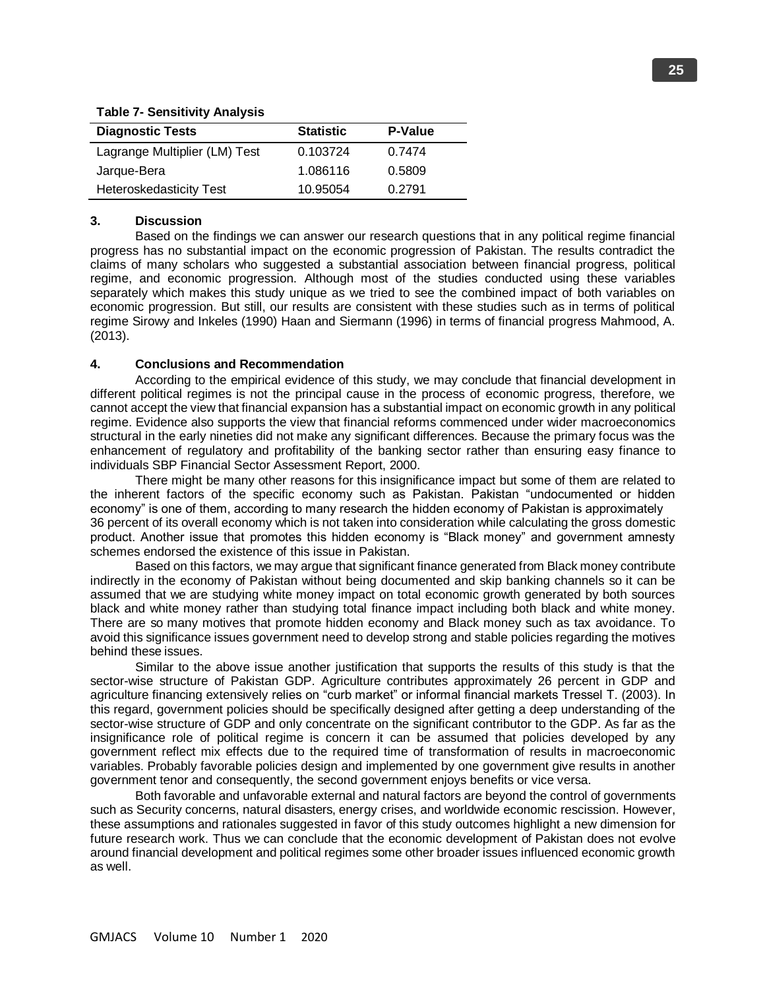# **Table 7- Sensitivity Analysis Diagnostic Tests Statistic P-Value** Lagrange Multiplier (LM) Test 0.103724 0.7474 Jarque-Bera 1.086116 0.5809 Heteroskedasticity Test 10.95054 0.2791

# **3. Discussion**

Based on the findings we can answer our research questions that in any political regime financial progress has no substantial impact on the economic progression of Pakistan. The results contradict the claims of many scholars who suggested a substantial association between financial progress, political regime, and economic progression. Although most of the studies conducted using these variables separately which makes this study unique as we tried to see the combined impact of both variables on economic progression. But still, our results are consistent with these studies such as in terms of political regime Sirowy and Inkeles (1990) Haan and Siermann (1996) in terms of financial progress Mahmood, A. (2013).

# **4. Conclusions and Recommendation**

According to the empirical evidence of this study, we may conclude that financial development in different political regimes is not the principal cause in the process of economic progress, therefore, we cannot accept the view that financial expansion has a substantial impact on economic growth in any political regime. Evidence also supports the view that financial reforms commenced under wider macroeconomics structural in the early nineties did not make any significant differences. Because the primary focus was the enhancement of regulatory and profitability of the banking sector rather than ensuring easy finance to individuals SBP Financial Sector Assessment Report, 2000.

There might be many other reasons for this insignificance impact but some of them are related to the inherent factors of the specific economy such as Pakistan. Pakistan "undocumented or hidden economy" is one of them, according to many research the hidden economy of Pakistan is approximately 36 percent of its overall economy which is not taken into consideration while calculating the gross domestic product. Another issue that promotes this hidden economy is "Black money" and government amnesty schemes endorsed the existence of this issue in Pakistan.

Based on this factors, we may argue that significant finance generated from Black money contribute indirectly in the economy of Pakistan without being documented and skip banking channels so it can be assumed that we are studying white money impact on total economic growth generated by both sources black and white money rather than studying total finance impact including both black and white money. There are so many motives that promote hidden economy and Black money such as tax avoidance. To avoid this significance issues government need to develop strong and stable policies regarding the motives behind these issues.

Similar to the above issue another justification that supports the results of this study is that the sector-wise structure of Pakistan GDP. Agriculture contributes approximately 26 percent in GDP and agriculture financing extensively relies on "curb market" or informal financial markets Tressel T. (2003). In this regard, government policies should be specifically designed after getting a deep understanding of the sector-wise structure of GDP and only concentrate on the significant contributor to the GDP. As far as the insignificance role of political regime is concern it can be assumed that policies developed by any government reflect mix effects due to the required time of transformation of results in macroeconomic variables. Probably favorable policies design and implemented by one government give results in another government tenor and consequently, the second government enjoys benefits or vice versa.

Both favorable and unfavorable external and natural factors are beyond the control of governments such as Security concerns, natural disasters, energy crises, and worldwide economic rescission. However, these assumptions and rationales suggested in favor of this study outcomes highlight a new dimension for future research work. Thus we can conclude that the economic development of Pakistan does not evolve around financial development and political regimes some other broader issues influenced economic growth as well.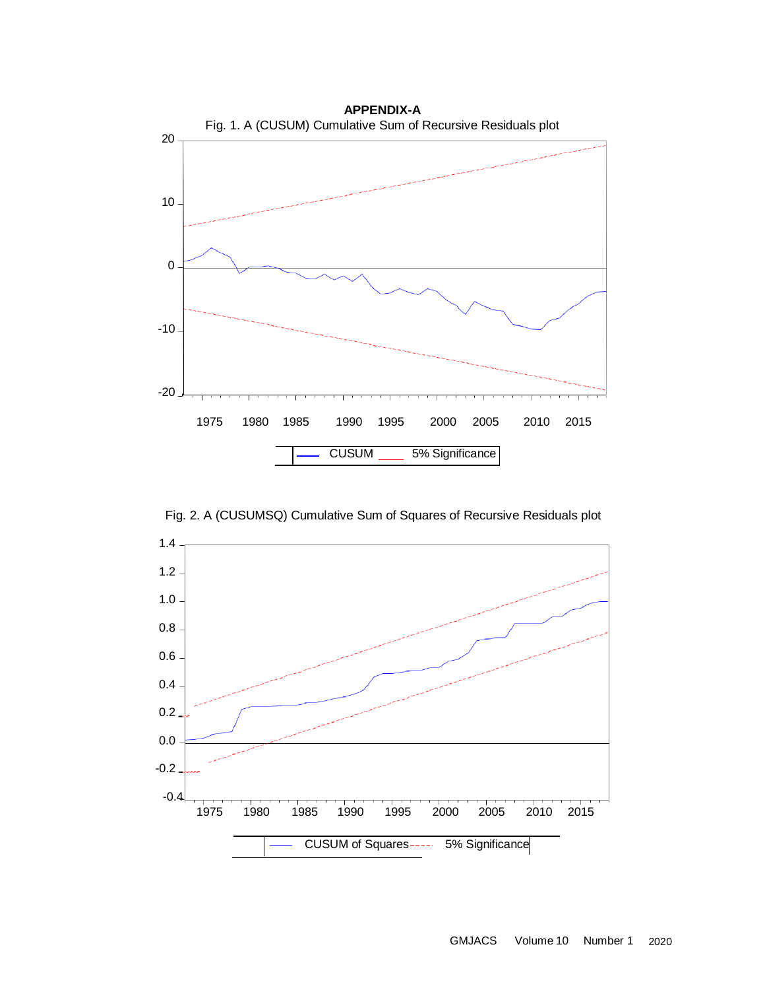

Fig. 2. A (CUSUMSQ) Cumulative Sum of Squares of Recursive Residuals plot